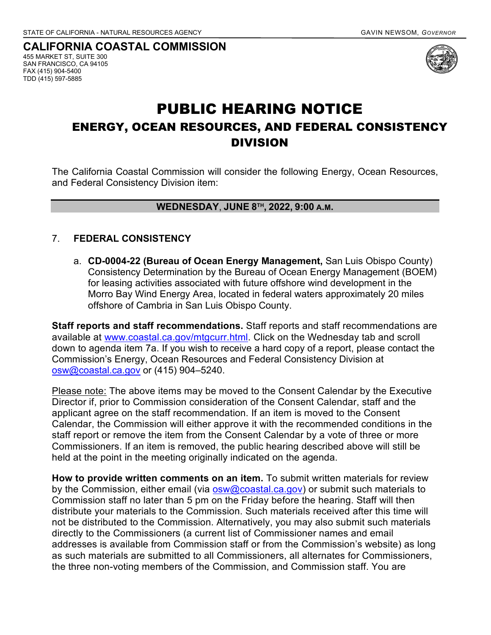**CALIFORNIA COASTAL COMMISSION** 455 MARKET ST, SUITE 300 SAN FRANCISCO, CA 94105 FAX (415) 904-5400 TDD (415) 597-5885



## PUBLIC HEARING NOTICE ENERGY, OCEAN RESOURCES, AND FEDERAL CONSISTENCY DIVISION

The California Coastal Commission will consider the following Energy, Ocean Resources, and Federal Consistency Division item:

## **WEDNESDAY**, **JUNE 8TH, 2022, 9:00 A.M.**

## 7. **FEDERAL CONSISTENCY**

a. **CD-0004-22 (Bureau of Ocean Energy Management,** San Luis Obispo County) Consistency Determination by the Bureau of Ocean Energy Management (BOEM) for leasing activities associated with future offshore wind development in the Morro Bay Wind Energy Area, located in federal waters approximately 20 miles offshore of Cambria in San Luis Obispo County.

**Staff reports and staff recommendations.** Staff reports and staff recommendations are available at [www.coastal.ca.gov/mtgcurr.html.](http://www.coastal.ca.gov/mtgcurr.html) Click on the Wednesday tab and scroll down to agenda item 7a. If you wish to receive a hard copy of a report, please contact the Commission's Energy, Ocean Resources and Federal Consistency Division at [osw@coastal.ca.gov](mailto:osw@coastal.ca.gov) or (415) 904–5240.

Please note: The above items may be moved to the Consent Calendar by the Executive Director if, prior to Commission consideration of the Consent Calendar, staff and the applicant agree on the staff recommendation. If an item is moved to the Consent Calendar, the Commission will either approve it with the recommended conditions in the staff report or remove the item from the Consent Calendar by a vote of three or more Commissioners. If an item is removed, the public hearing described above will still be held at the point in the meeting originally indicated on the agenda.

**How to provide written comments on an item.** To submit written materials for review by the Commission, either email (via **osw@coastal.ca.gov)** or submit such materials to Commission staff no later than 5 pm on the Friday before the hearing. Staff will then distribute your materials to the Commission. Such materials received after this time will not be distributed to the Commission. Alternatively, you may also submit such materials directly to the Commissioners (a current list of Commissioner names and email addresses is available from Commission staff or from the Commission's website) as long as such materials are submitted to all Commissioners, all alternates for Commissioners, the three non-voting members of the Commission, and Commission staff. You are